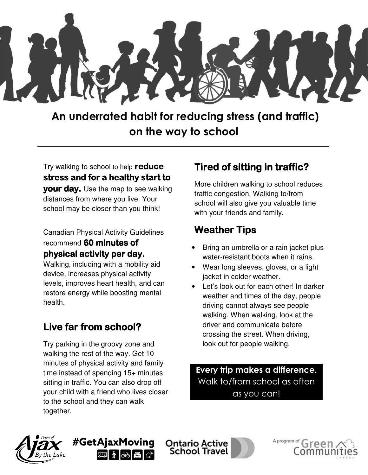

 An underrated habit for reducing stress (and traffic) on the way to school

Try walking to school to help reduce stress and for a healthy start to your day. Use the map to see walking distances from where you live. Your school may be closer than you think!

Canadian Physical Activity Guidelines recommend 60 minutes of physical activity per day.

Walking, including with a mobility aid device, increases physical activity levels, improves heart health, and can restore energy while boosting mental health.

## Live far from school?

Try parking in the groovy zone and walking the rest of the way. Get 10 minutes of physical activity and family time instead of spending 15+ minutes sitting in traffic. You can also drop off your child with a friend who lives closer to the school and they can walk together.

## Tired of sitting in traffic?

More children walking to school reduces traffic congestion. Walking to/from school will also give you valuable time with your friends and family.

## **Weather Tips**

- Bring an umbrella or a rain jacket plus water-resistant boots when it rains.
- Wear long sleeves, gloves, or a light jacket in colder weather.
- Let's look out for each other! In darker weather and times of the day, people driving cannot always see people walking. When walking, look at the driver and communicate before crossing the street. When driving, look out for people walking.

Every trip makes a difference. Walk to/from school as often as you can!

A program of





**Ontario Active School Travel**